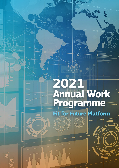# 2021<br>Annual Work<br>Programme



 $\boxed{\textcolor{blue}{\textbf{3}}}$ 

 $\ddot{\bullet}$ 

 $\overline{\mathbf{z}}$ 

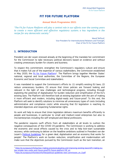# **FIT FOR FUTURE PLATFORM**

### **Annual Work Programme 2021**

*"The Fit for Future Platform will play a central role in our efforts over the coming years to create a more efficient and effective regulatory system; a key ingredient in the recipe for any democratic society."*

> Maroš Šefčovič, Vice-President for Interinstitutional Relations and Foresight, Chair of the Fit for Future Platform

# **1. INTRODUCTION**

1

President von der Leyen stressed already at the beginning of the mandate her commitment for the Commission to take necessary political decisions based on evidence and without creating unnecessary burden for citizens and business.

To respect this commitment, strengthen the Commission's regulatory culture and ensure that it makes full use of the expertise of various stakeholders, the Commission established in May 2020, the *Fit for Future Platform<sup>1</sup>. The Platform brings together Member States'* national, regional and local authorities, the Committee of the Regions, the European Economic and Social Committee and stakeholders.

It was mandated to support the Commission's efforts to: (1) simplify existing EU laws; (2) reduce unnecessary burdens; (3) ensure that Union policies are forward looking and relevant in the light of new challenges and technological progress, including through exploiting the potential of digitalisation for burden reduction and simplification of the EU's existing laws. The Platform will therefore look at existing legislation with the aim of making it more efficient and modern, including digital-ready and future-proof. To this end, the Platform will seek to identify solutions to minimise all unnecessary types of costs (including administrative and compliance costs) while ensuring that EU legislation is reaching its intended objectives and respecting fundamental rights.

Its work will help to ensure that Union legislation delivers maximum benefits efficiently to people and businesses, in particular to small and medium-sized enterprises but also to microenterprises including the self-employed and liberal professions.

The pandemic requires swift efforts from all stakeholders at all levels to cushion the negative consequences of the COVID-19 pandemic. The Commission is working to address the economic and social effects caused by the crisis and to help kick-start sustainable recovery, while continuing to deliver on the headline ambitions outlined in President von der Leyen's [Political Guidelines](https://ec.europa.eu/info/sites/info/files/political-guidelines-next-commission_en_0.pdf) for a green deal, digitalisation and an economy that works for people<sup>2</sup>. The Platform's work on burden reduction, simplification and modernisation will make sure that the objectives pursued by the Commission (such as the twin transition, an

<sup>1</sup> [https://ec.europa.eu/info/law/law-making-process/evaluating-and-improving-existing-laws/refit-making-eu](https://ec.europa.eu/info/law/law-making-process/evaluating-and-improving-existing-laws/refit-making-eu-law-simpler-less-costly-and-future-proof/fit-future-platform-f4f_en)[law-simpler-less-costly-and-future-proof/fit-future-platform-f4f\\_en](https://ec.europa.eu/info/law/law-making-process/evaluating-and-improving-existing-laws/refit-making-eu-law-simpler-less-costly-and-future-proof/fit-future-platform-f4f_en)

<sup>2</sup> [https://ec.europa.eu/info/sites/info/files/political-guidelines-next-commission\\_en\\_0.pdf](https://ec.europa.eu/info/sites/info/files/political-guidelines-next-commission_en_0.pdf)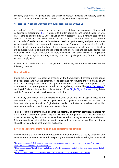economy that works for people, etc.) are achieved without imposing unnecessary burdens on the companies and citizens who have to comply with the EU legislation.

## **2. THE PRIORITIES OF THE FIT FOR FUTURE PLATFORM**

As part of the Commission's policy on better regulation, the regulatory fitness and performance programme [\(REFIT\)](https://ec.europa.eu/info/law/law-making-process/evaluating-and-improving-existing-laws/refit-making-eu-law-simpler-less-costly-and-future-proof_en)<sup>3</sup> guides its burden reduction and simplification efforts. REFIT aims to ensure that EU laws deliver on their objectives at a minimum cost for the benefit of citizens and businesses. In this context, the Fit for Future Platform will contribute to the body of evidence that the Commission needs for policymaking and point out areas where simplification and burden reduction are needed. Bringing in the knowledge from the local, regional and national levels and from different groups of people who are subject to EU legislation will help to make life easier for citizens, businesses and the public sector. The Platform's work should contribute to more innovation and SME-friendly EU legislation amongst other things by ensuring that legislation is digital-by-default, future proof and easy to comply with.

In view of its mandate and the challenges described above, the Platform will focus on the following priorities:

### **Digitalisation**

**.** 

Digital transformation is a headline ambition of the Commission. It affects a broad range of policy areas and has the potential to be essential for reducing the complexity of EU legislation. Helping businesses to take up digital solutions and accelerate the public sector modernisation has great potential to reduce the regulatory burden. The [Berlin Declaration](https://ec.europa.eu/digital-single-market/en/news/berlin-declaration-digital-society-and-value-based-digital-government)<sup>4</sup> on Digital Society points to the implementation of the **Single Digital Gateway**<sup>5</sup> Regulation and the 'once-only' principle as having such potential.

Accessibility and 'digital literacy' require conscious effort and these aspects need to be considered in the design process of digital solutions. Digitalisation should also work hand in hand with the green transition. Digitalisation needs coordinated approaches, stakeholder engagement and cross-border regulatory cooperation.

The Fit for Future Platform could look into the potential of common technical standards for data formats, automated processing and aligned reporting-cycles and consider whether more innovative regulatory solutions could be explored (including experimentation clauses). Existing experience with digital administrations and governance across Member States should be explored and best practices exchanged.

### **Efficient labelling, authorisation and reporting obligations**

Combining ease of administrative procedures with high standards of social, consumer and environmental protection, while fully respecting the Union's fundamental rights, are crucial

<sup>3</sup> [https://ec.europa.eu/info/law/law-making-process/evaluating-and-improving-existing-laws/refit-making-eu](https://ec.europa.eu/info/law/law-making-process/evaluating-and-improving-existing-laws/refit-making-eu-law-simpler-less-costly-and-future-proof_en)[law-simpler-less-costly-and-future-proof\\_en](https://ec.europa.eu/info/law/law-making-process/evaluating-and-improving-existing-laws/refit-making-eu-law-simpler-less-costly-and-future-proof_en)

<sup>4</sup> [https://ec.europa.eu/digital-single-market/en/news/berlin-declaration-digital-society-and-value-based-digital](https://ec.europa.eu/digital-single-market/en/news/berlin-declaration-digital-society-and-value-based-digital-government)[government](https://ec.europa.eu/digital-single-market/en/news/berlin-declaration-digital-society-and-value-based-digital-government)

<sup>5</sup> [https://eur-lex.europa.eu/legal-content/EN/TXT/?uri=uriserv:OJ.L\\_.2018.295.01.0001.01.ENG](https://eur-lex.europa.eu/legal-content/EN/TXT/?uri=uriserv:OJ.L_.2018.295.01.0001.01.ENG)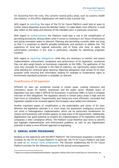for recovering from the crisis. This concerns several policy areas, such as customs, health and statistics. In this effort, digitalisation will need to play a pivotal role.

With regard to **labelling**, the input of the Fit for Future Platform could look at ways to further reduce disparities across the Member States. To make labels more effective, it could also reflect on the needs and interests of the intended users, in particular consumers.

With regard to **authorisations**, the Platform could play a role in the simplification of permitting procedures, among others when it comes to investing in our future infrastructure and giving innovation space to blossom. Planning and permitting currently takes too long, so that it is important to identify possible bottlenecks and solutions to address this. The experience of local and regional authorities and of those who have to apply the authorisation procedure in this area is particularly valuable for identifying pragmatic solutions.

With regard to **reporting obligations**, while they are necessary to monitor and assess implementation, enforcement, compliance and performance of EU legislation, sometimes they can also weigh heavily on businesses, especially on the SMEs. The application of the 'once only' principle, for example in the field of statistics, can significantly reduce burden, while allowing for continued good reporting. Reporting obligations shall remain fit for their purposes while ensuring that information relating for example to fundamental rights or environment standards protection is available, as relevant.

### **Simplification of EU legislation**

Different EU laws can sometimes overlap in certain areas, creating coherence and consistency issues for citizens, businesses and the public sector. Multiple layers of legislation may also make it difficult for businesses, in particular SMEs, to have a complete overview of their obligations. The regulatory density in certain policy areas is high and the Task Force on Subsidiarity, Proportionality and 'Doing less more efficiently' concluded that legislation needed to be reviewed against the European value added and coherence.

Another important aspect of simplification is the predictability and clarity of EU laws. Whereas the legislative rationale is in most cases not questioned, ambiguous provisions can result in heterogeneous implementation, which can be particularly burdensome for citizens and businesses with limited capacity to keep track of all requirements. Additionally, digitalisation has great potential to simplify the implementation of EU legislation and help companies in their compliance efforts. The Platform could therefore also strive to identify and highlight implementation and enforcement problems as well as any digitalisation potential to allow a more efficient approach to legislating.

# **3. ANNUAL WORK PROGRAMME**

**.** 

Building on the experience with the REFIT Platform<sup>6</sup>, the Commission proposed a number of novelties for the Fit for Future Platform. In particular, the Fit for Future Platform will base its work on **an annual work programme**. The Decision establishing the Fit for Future Platform provides for the following sources for the annual work programme:

<sup>6</sup> https://ec.europa.eu/info/publications/better-regulation-taking-stock-and-sustaining-our-commitment\_en ;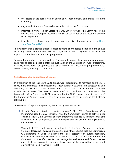- the Report of the Task Force on Subsidiarity, Proportionality and 'Doing less more efficiently';
- major evaluations and fitness checks carried out by the Commission;
- information from Member States, the SME Envoy Network, the Committee of the Regions and the European Economic and Social Committee on the most burdensome Union legislation;
- input from stakeholders and the wider public received through the web-site **Have your Say: Simplify!**.

The Platform should provide evidence-based opinions on the topics identified in the annual work programme. The Platform will work organised in four sub-groups to examine the topics in the Platform's annual work programme.

To guide the work for the year ahead, the Platform will approve its annual work programme each year as soon as possible after the publication of the Commission's work programme. In 2021, the Platform has approved the list of topics of its annual work programme at its second plenary meeting, on 4 March 2021.

### **Selection and organisation of topics**

In preparation of the Platform's 2021 annual work programme, its members and the SME envoy have submitted their suggestions. After carefully studying the suggestions and consulting the relevant Commission departments, the secretariat of the Platform has made a selection of topics. This year, a majority of topics is based on initiatives in the Commission Work Programme 2021, to ensure that the Platform contributes to the core of the Commission's work. However, this is not a pre-requisite for inclusion in the Platform programme.

The selection of topics was guided by the following considerations:

*a) Simplification and burden reduction potential*: The 2021 Commission Work Programme lists the major initiatives that the Commission intends to deliver. In its 'Annex II – REFIT', the Commission work programme includes 41 initiatives that aim to keep EU law fit-for-purpose and to bring benefits for users of EU legislation at minimum costs.

'Annex II – REFIT' is particularly relevant for the Fit for Future Platform as it sets out the main legislative revisions, evaluations and fitness checks that the Commission will undertake in 2021 to achieve the REFIT objectives of burden reduction, simplification and digitalisation. It is the main source of information for the Commission to identify potential cost savings (in evaluations and fitness checks) and actual cost savings (in revisions). Hence, most of the selected topics are based on initiatives listed in 'Annex II – REFIT'.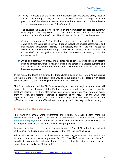*b) Timing*: To ensure that the Fit for Future Platform opinions provide timely input to the decision making process, the work of the Platform must be aligned with the policy cycle of the relevant initiatives. This way the opinions can contribute directly to the ongoing preparatory work of the Commission.

The selected initiatives are those for which the Commission services are currently collecting and analysing evidence. The selection also takes into consideration that the first opinions of the Platform will be adopted in Q2/Q3 2021, at the earliest.

- *c) Evidence-based approach:* The Platform's work needs to add to the evidence gathered by the Commission services through evaluations, impact assessments and stakeholders' consultations. Hence, it is necessary that the Platform focuses its resources on a limited number of topics. The selection intends to keep the workload of the Platform manageable to ensure that the delivered opinions go into the necessary depth.
- *d) Broad and balanced coverage*: The selected topics cover a broad range of sectors such as competition, finance, health, environment, statistics, transport, customs and internal market, to ensure that the Platform's work benefits as many citizens and business as possible.

In the Annex, the topics are arranged in three clusters. Each of the Platform's sub-groups will work on one of those clusters. This way each sub-group will be dealing with topics covering several sectors, including both evaluations and revisions.

The fourth sub-group of the Platform, consisting of local and regional authorities, will support the other sub-groups of the Platform by providing additional evidence from the local and regional level. It will also present one or more reports on issues where evidence from the local and regional expertise is essential at the request of the Chair. This experience on the ground provides the needed reality check and understanding of the difficulties of those who are affected most directly by the EU laws regionally and locally.

### **Involvement of the wider public**

**.** 

The Platform's annual work programme and opinions will also benefit from the contributions from the public. **Citizens** and **stakeholders** can contribute on the **Have your Say: Simplify!** portal<sup>7</sup> to the work of the Platform. Suggestions can be submitted for each topic included in the Platform's annual work programme.

Relevant suggestions received by the Platform before 30 April 2021 on the topics included in the annual work programme will be considered for the Platform's opinions.

Additionally, citizens and stakeholders can also make suggestions **for new topics**, not included in the annual work programme for 2021. The Platform will consider those for possible inclusion in the next annual work programme together with any other relevant suggestions received after 30 April 2021.

<sup>7</sup> <https://ec.europa.eu/info/law/better-regulation/have-your-say-simplify>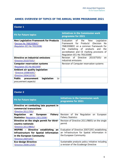# **ANNEX: OVERVIEW OF TOPICS OF THE ANNUAL WORK PROGRAMME 2021**

| <b>Cluster 1</b>                                                                                            |                                                                                                                                                                                                                                                              |
|-------------------------------------------------------------------------------------------------------------|--------------------------------------------------------------------------------------------------------------------------------------------------------------------------------------------------------------------------------------------------------------|
| <b>Fit for Future topics</b>                                                                                | <b>Initiatives in the Commission work</b><br>programme for 2021                                                                                                                                                                                              |
| <b>New Legislative Framework for Products</b><br>(Decision No 768/2008/EC)<br>(Regulation (EC) No 765/2008) | Evaluation of<br>the 'New<br>Legislative<br>Framework for Products' (Decision<br><b>No</b><br>768/2008/EC on a common framework for<br>marketing of products and<br>the<br>the<br>accreditation and CE marking provisions of<br>Regulation (EC) No 765/2008) |
| Directive on industrial emissions<br><u>(Directive 2010/75/EU)</u>                                          | Revision of Directive 2010/75/EU<br>on.<br>industrial emissions                                                                                                                                                                                              |
| <b>Computer reservation systems</b><br><u>(Regulation (EC) No 80/2009)</u>                                  | Revision of Computer reservation systems                                                                                                                                                                                                                     |
| Ambient air quality legislation<br><u>(Directive 2008/50/EC)</u><br><u>(Directive 2004/107/EC)</u>          |                                                                                                                                                                                                                                                              |
| <b>Public</b><br>legislation<br>procurement<br>(e-<br>procurement aspects)                                  |                                                                                                                                                                                                                                                              |

| <b>Cluster 2</b>                                                                                                                           |                                                                                                                          |  |
|--------------------------------------------------------------------------------------------------------------------------------------------|--------------------------------------------------------------------------------------------------------------------------|--|
| <b>Fit for Future topics</b>                                                                                                               | <b>Initiatives in the Commission work</b><br>programme for 2021                                                          |  |
| Directive on combating late payment in<br>commercial transactions<br>(Directive 2011/7/EU)                                                 |                                                                                                                          |  |
| Regulation on<br>Fishery<br><b>European</b><br><b>Statistics (Regulation 1921/2006)</b>                                                    | Revision of the<br>Regulation on<br>European<br><b>Fishery Statistics</b>                                                |  |
| Directive on the single permit for third-<br>country nationals<br>(Directive 2011/98/EU)                                                   | Revision of Directive 2011/98/EU on the single<br>permit                                                                 |  |
| <b>INSPIRE - Directive establishing an</b><br>Infrastructure for Spatial Information<br>in the European Community<br>(Directive 2007/2/EC) | Evaluation of Directive 2007/2/EC establishing<br>an Infrastructure for Spatial Information in<br>the European Community |  |
| <b>Eco-design Directive</b><br>(Directive 2009/125/EC)                                                                                     | Sustainable products policy initiative including<br>a revision of the Ecodesign Directive                                |  |